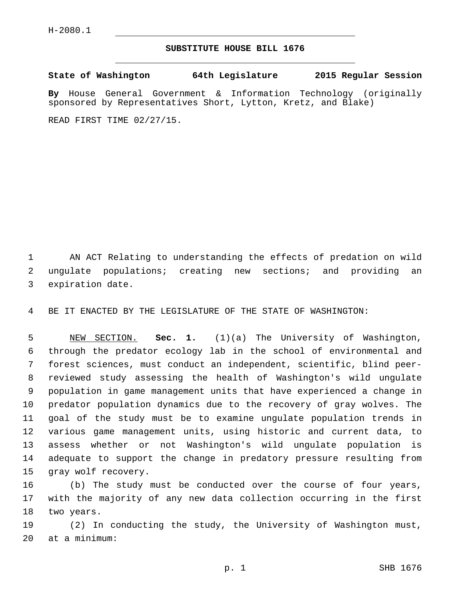## **SUBSTITUTE HOUSE BILL 1676**

**State of Washington 64th Legislature 2015 Regular Session**

**By** House General Government & Information Technology (originally sponsored by Representatives Short, Lytton, Kretz, and Blake)

READ FIRST TIME 02/27/15.

1 AN ACT Relating to understanding the effects of predation on wild 2 ungulate populations; creating new sections; and providing an 3 expiration date.

4 BE IT ENACTED BY THE LEGISLATURE OF THE STATE OF WASHINGTON:

 NEW SECTION. **Sec. 1.** (1)(a) The University of Washington, through the predator ecology lab in the school of environmental and forest sciences, must conduct an independent, scientific, blind peer- reviewed study assessing the health of Washington's wild ungulate population in game management units that have experienced a change in predator population dynamics due to the recovery of gray wolves. The goal of the study must be to examine ungulate population trends in various game management units, using historic and current data, to assess whether or not Washington's wild ungulate population is adequate to support the change in predatory pressure resulting from 15 gray wolf recovery.

16 (b) The study must be conducted over the course of four years, 17 with the majority of any new data collection occurring in the first 18 two years.

19 (2) In conducting the study, the University of Washington must, at a minimum:20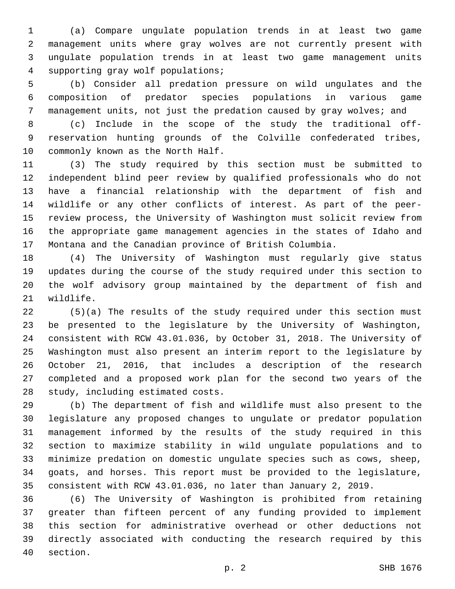(a) Compare ungulate population trends in at least two game management units where gray wolves are not currently present with ungulate population trends in at least two game management units supporting gray wolf populations;4

 (b) Consider all predation pressure on wild ungulates and the composition of predator species populations in various game management units, not just the predation caused by gray wolves; and

 (c) Include in the scope of the study the traditional off- reservation hunting grounds of the Colville confederated tribes, 10 commonly known as the North Half.

 (3) The study required by this section must be submitted to independent blind peer review by qualified professionals who do not have a financial relationship with the department of fish and wildlife or any other conflicts of interest. As part of the peer- review process, the University of Washington must solicit review from the appropriate game management agencies in the states of Idaho and Montana and the Canadian province of British Columbia.

 (4) The University of Washington must regularly give status updates during the course of the study required under this section to the wolf advisory group maintained by the department of fish and 21 wildlife.

 (5)(a) The results of the study required under this section must be presented to the legislature by the University of Washington, consistent with RCW 43.01.036, by October 31, 2018. The University of Washington must also present an interim report to the legislature by October 21, 2016, that includes a description of the research completed and a proposed work plan for the second two years of the 28 study, including estimated costs.

 (b) The department of fish and wildlife must also present to the legislature any proposed changes to ungulate or predator population management informed by the results of the study required in this section to maximize stability in wild ungulate populations and to minimize predation on domestic ungulate species such as cows, sheep, goats, and horses. This report must be provided to the legislature, consistent with RCW 43.01.036, no later than January 2, 2019.

 (6) The University of Washington is prohibited from retaining greater than fifteen percent of any funding provided to implement this section for administrative overhead or other deductions not directly associated with conducting the research required by this 40 section.